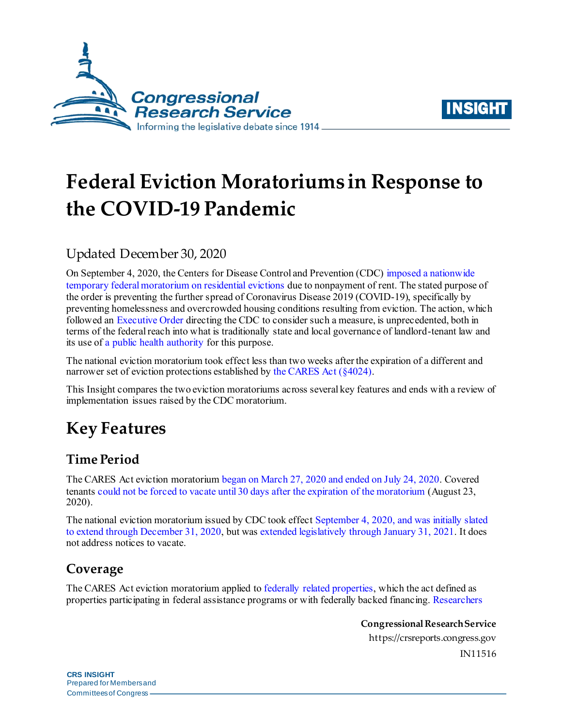



# **Federal Eviction Moratoriums in Response to the COVID-19 Pandemic**

## Updated December 30, 2020

On September 4, 2020, the Centers for Disease Control and Prevention (CDC[\) imposed a nationwide](https://www.federalregister.gov/documents/2020/09/04/2020-19654/temporary-halt-in-residential-evictions-to-prevent-the-further-spread-of-covid-19)  [temporary federal moratorium on residential evictions](https://www.federalregister.gov/documents/2020/09/04/2020-19654/temporary-halt-in-residential-evictions-to-prevent-the-further-spread-of-covid-19) due to nonpayment of rent. The stated purpose of the order is preventing the further spread of Coronavirus Disease 2019 (COVID-19), specifically by preventing homelessness and overcrowded housing conditions resulting from eviction. The action, which followed an [Executive Order](https://www.whitehouse.gov/presidential-actions/executive-order-fighting-spread-covid-19-providing-assistance-renters-homeowners/) directing the CDC to consider such a measure, is unprecedented, both in terms of the federal reach into what is traditionally state and local governance of landlord-tenant law and its use of [a public health authority](https://www.federalregister.gov/d/2020-19654/p-89) for this purpose.

The national eviction moratorium took effect less than two weeks after the expiration of a different and narrower set of eviction protections established b[y the CARES Act](https://crsreports.congress.gov/product/pdf/IN/IN11320) (§4024).

This Insight compares the two eviction moratoriums across several key features and ends with a review of implementation issues raised by the CDC moratorium.

# **Key Features**

### **Time Period**

The CARES Act eviction moratoriu[m began on March 27, 2020 and ended on July 24, 2020.](https://www.congress.gov/bill/116th-congress/house-bill/748/text/enr?q=%7B%22search%22%3A%5B%22cite%3APL116-136%22%5D%7D&r=1#H7988C4AFEE464820A9042F7009873659) Covered tenants [could not be forced to vacate until 30 days after the expiration of the moratorium](https://www.congress.gov/bill/116th-congress/house-bill/748/text/enr?q=%7B%22search%22%3A%5B%22cite%3APL116-136%22%5D%7D&r=1#H04FF058C794249499CAB6B19C6279FD0) (August 23, 2020).

The national eviction moratorium issued by CDC took effect September 4, 2020, [and was initially slated](https://www.federalregister.gov/d/2020-19654/p-4)  [to extend through December 31, 2020](https://www.federalregister.gov/d/2020-19654/p-4), but was extended legislatively [through January 31, 2021](https://www.congress.gov/bill/116th-congress/house-bill/133/text). It does not address notices to vacate.

### **Coverage**

The CARES Act eviction moratorium applied t[o federally related properties,](https://www.congress.gov/bill/116th-congress/house-bill/748/text/enr?q=%7B%22search%22%3A%5B%22cite%3APL116-136%22%5D%7D&r=1#H0308874BF630488099FC588C4D00D4C0) which the act defined as properties participating in federal assistance programs or with federally backed financing[. Researchers](https://www.frbatlanta.org/community-development/publications/partners-update/2020/covid-19-publications/200616-housing-policy-impact-federal-eviction-protection-coverage-and-the-need-for-better-data) 

> **Congressional Research Service** https://crsreports.congress.gov IN11516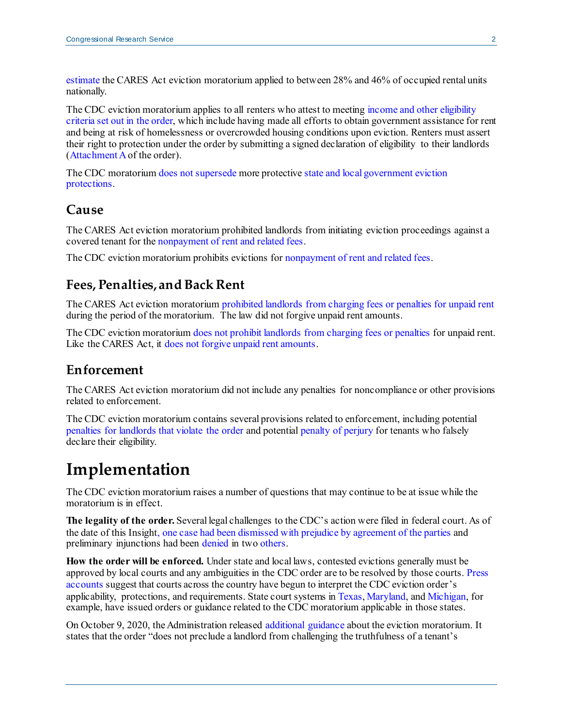[estimate](https://www.frbatlanta.org/community-development/publications/partners-update/2020/covid-19-publications/200616-housing-policy-impact-federal-eviction-protection-coverage-and-the-need-for-better-data) the CARES Act eviction moratorium applied to between 28% and 46% of occupied rental units nationally.

The CDC eviction moratorium applies to all renters who attest to meeting income and other eligibility [criteria set out in the order,](https://www.federalregister.gov/d/2020-19654/p-21) which include having made all efforts to obtain government assistance for rent and being at risk of homelessness or overcrowded housing conditions upon eviction. Renters must assert their right to protection under the order by submitting a signed declaration of eligibility to their landlords [\(Attachment A](https://www.federalregister.gov/d/2020-19654/p-107) of the order).

The CDC moratoriu[m does not supersede](https://www.federalregister.gov/d/2020-19654/p-12) more protectiv[e state and local government eviction](https://evictionlab.org/covid-eviction-policies/)  [protections.](https://evictionlab.org/covid-eviction-policies/)

#### **Cause**

The CARES Act eviction moratorium prohibited landlords from initiating eviction proceedings against a covered tenant for th[e nonpayment of rent and related fees.](https://www.congress.gov/bill/116th-congress/house-bill/748/text/enr?q=%7B%22search%22%3A%5B%22cite%3APL116-136%22%5D%7D&r=1#H7988C4AFEE464820A9042F7009873659)

The CDC eviction moratorium prohibits evictions for [nonpayment of rent](https://www.federalregister.gov/d/2020-19654/p-47) and related fees.

#### **Fees, Penalties, and Back Rent**

The CARES Act eviction moratoriu[m prohibited landlords from charging fees or penalties for unpaid rent](https://www.congress.gov/bill/116th-congress/house-bill/748/text/enr?q=%7B%22search%22%3A%5B%22cite%3APL116-136%22%5D%7D&r=1#H8DFE03D3A04342A8B47D708B3B49407F) during the period of the moratorium. The law did not forgive unpaid rent amounts.

The CDC eviction moratorium [does not prohibit landlords from charging fees or penalties](https://www.federalregister.gov/d/2020-19654/p-15) for unpaid rent. Like the CARES Act, it [does not forgive unpaid rent amounts.](https://www.federalregister.gov/d/2020-19654/p-15)

#### **Enforcement**

The CARES Act eviction moratorium did not include any penalties for noncompliance or other provisions related to enforcement.

The CDC eviction moratorium contains several provisions related to enforcement, including potential [penalties for landlords that violate the order](https://www.federalregister.gov/d/2020-19654/p-98) and potential [penalty of perjury](https://www.federalregister.gov/d/2020-19654/p-108) for tenants who falsely declare their eligibility.

# **Implementation**

The CDC eviction moratorium raises a number of questions that may continue to be at issue while the moratorium is in effect.

**The legality of the order.** Several legal challenges to the CDC's action were filed in federal court. As of the date of this Insight, [one case had been dismissed with prejudice by agreement of the parties](https://www.courtlistener.com/recap/gov.uscourts.ohsd.245790/gov.uscourts.ohsd.245790.22.0.pdf) and preliminary injunctions had been [denied](https://www.nhlp.org/wp-content/uploads/Brown-v-Azar-order.pdf) in tw[o others.](https://www.courtlistener.com/recap/gov.uscourts.tnwd.89505/gov.uscourts.tnwd.89505.69.0.pdf)

**How the order will be enforced.** Under state and local laws, contested evictions generally must be approved by local courts and any ambiguities in the CDC order are to be resolved by those courts[. Press](https://www.nytimes.com/2020/09/16/business/eviction-moratorium-renters-landlords.html)  [accounts](https://www.nytimes.com/2020/09/16/business/eviction-moratorium-renters-landlords.html) suggest that courts across the country have begun to interpret the CDC eviction order's applicability, protections, and requirements. State court systems i[n Texas](https://www.txcourts.gov/supreme/news/court-adds-federal-provisions-to-eviction-requirements/)[, Maryland](https://www.courts.state.md.us/sites/default/files/import/district/phaseIV_communication_landlordtenant_9.4.20.pdf), an[d Michigan,](https://courts.michigan.gov/News-Events/covid19-resources/Documents/CDC_Eviction_Moratorium_FAQ_9-3-20.pdf) for example, have issued orders or guidance related to the CDC moratorium applicable in those states.

On October 9, 2020, the Administration released [additional guidance](https://www.cdc.gov/coronavirus/2019-ncov/downloads/eviction-moratoria-order-faqs.pdf) about the eviction moratorium. It states that the order "does not preclude a landlord from challenging the truthfulness of a tenant's